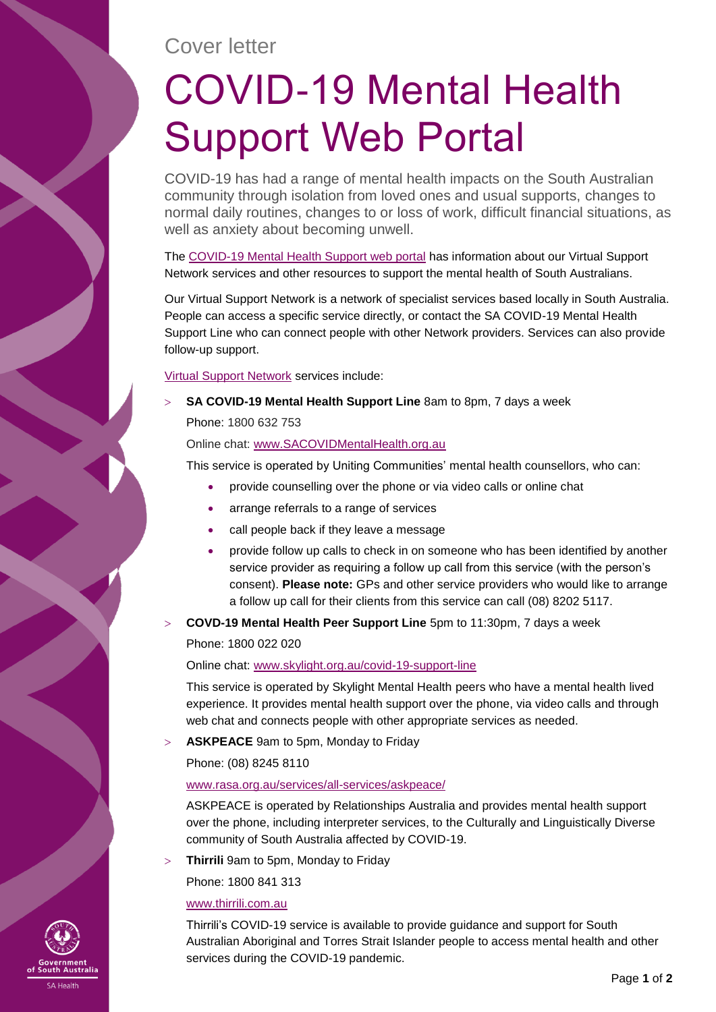## Cover letter

# COVID-19 Mental Health Support Web Portal

COVID-19 has had a range of mental health impacts on the South Australian community through isolation from loved ones and usual supports, changes to normal daily routines, changes to or loss of work, difficult financial situations, as well as anxiety about becoming unwell.

The [COVID-19 Mental Health Support web portal](https://www.sahealth.sa.gov.au/wps/wcm/connect/public+content/sa+health+internet/conditions/infectious+diseases/covid+2019/community/mental+health+support+-+covid-19) has information about our Virtual Support Network services and other resources to support the mental health of South Australians.

Our Virtual Support Network is a network of specialist services based locally in South Australia. People can access a specific service directly, or contact the SA COVID-19 Mental Health Support Line who can connect people with other Network providers. Services can also provide follow-up support.

[Virtual Support Network](https://www.sahealth.sa.gov.au/wps/wcm/connect/public+content/sa+health+internet/conditions/infectious+diseases/covid+2019/community/mental+health+support+-+covid-19/covid-19+virtual+support+network) services include:

**SA COVID-19 Mental Health Support Line** 8am to 8pm, 7 days a week

Phone: 1800 632 753

Online chat: [www.SACOVIDMentalHealth.org.au](http://www.sacovidmentalhealth.org.au/)

This service is operated by Uniting Communities' mental health counsellors, who can:

- provide counselling over the phone or via video calls or online chat
- arrange referrals to a range of services
- call people back if they leave a message
- provide follow up calls to check in on someone who has been identified by another service provider as requiring a follow up call from this service (with the person's consent). **Please note:** GPs and other service providers who would like to arrange a follow up call for their clients from this service can call (08) 8202 5117.
- **COVD-19 Mental Health Peer Support Line** 5pm to 11:30pm, 7 days a week

Phone: 1800 022 020

Online chat: [www.skylight.org.au/covid-19-support-line](http://www.skylight.org.au/covid-19-support-line)

This service is operated by Skylight Mental Health peers who have a mental health lived experience. It provides mental health support over the phone, via video calls and through web chat and connects people with other appropriate services as needed.

**ASKPEACE** 9am to 5pm, Monday to Friday

Phone: (08) 8245 8110

#### [www.rasa.org.au/services/all-services/askpeace/](http://www.rasa.org.au/services/all-services/askpeace/)

ASKPEACE is operated by Relationships Australia and provides mental health support over the phone, including interpreter services, to the Culturally and Linguistically Diverse community of South Australia affected by COVID-19.

**Thirrili** 9am to 5pm, Monday to Friday

Phone: 1800 841 313

#### [www.thirrili.com.au](http://www.thirrili.com.au/)

Thirrili's COVID-19 service is available to provide guidance and support for South Australian Aboriginal and Torres Strait Islander people to access mental health and other services during the COVID-19 pandemic.